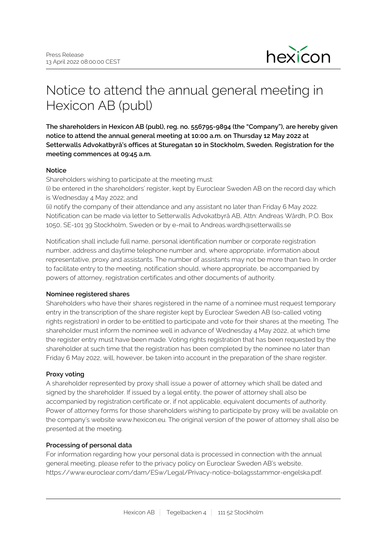

# Notice to attend the annual general meeting in Hexicon AB (publ)

**The shareholders in Hexicon AB (publ), reg. no. 556795-9894 (the "Company"), are hereby given notice to attend the annual general meeting at 10:00 a.m. on Thursday 12 May 2022 at Setterwalls Advokatbyrå's offices at Sturegatan 10 in Stockholm, Sweden. Registration for the meeting commences at 09:45 a.m.**

#### **Notice**

Shareholders wishing to participate at the meeting must:

(i) be entered in the shareholders' register, kept by Euroclear Sweden AB on the record day which is Wednesday 4 May 2022; and

(ii) notify the company of their attendance and any assistant no later than Friday 6 May 2022. Notification can be made via letter to Setterwalls Advokatbyrå AB, Attn: Andreas Wårdh, P.O. Box 1050, SE-101 39 Stockholm, Sweden or by e-mail to Andreas.wardh@setterwalls.se

Notification shall include full name, personal identification number or corporate registration number, address and daytime telephone number and, where appropriate, information about representative, proxy and assistants. The number of assistants may not be more than two. In order to facilitate entry to the meeting, notification should, where appropriate, be accompanied by powers of attorney, registration certificates and other documents of authority.

#### **Nominee registered shares**

Shareholders who have their shares registered in the name of a nominee must request temporary entry in the transcription of the share register kept by Euroclear Sweden AB (so-called voting rights registration) in order to be entitled to participate and vote for their shares at the meeting. The shareholder must inform the nominee well in advance of Wednesday 4 May 2022, at which time the register entry must have been made. Voting rights registration that has been requested by the shareholder at such time that the registration has been completed by the nominee no later than Friday 6 May 2022, will, however, be taken into account in the preparation of the share register.

## **Proxy voting**

A shareholder represented by proxy shall issue a power of attorney which shall be dated and signed by the shareholder. If issued by a legal entity, the power of attorney shall also be accompanied by registration certificate or, if not applicable, equivalent documents of authority. Power of attorney forms for those shareholders wishing to participate by proxy will be available on the company's website www.hexicon.eu. The original version of the power of attorney shall also be presented at the meeting.

#### **Processing of personal data**

For information regarding how your personal data is processed in connection with the annual general meeting, please refer to the privacy policy on Euroclear Sweden AB's website, https://www.euroclear.com/dam/ESw/Legal/Privacy-notice-bolagsstammor-engelska.pdf.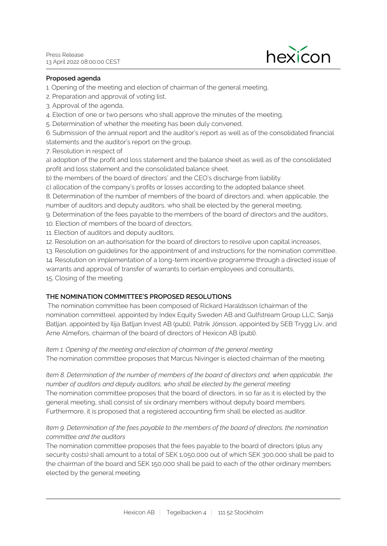

#### **Proposed agenda**

1. Opening of the meeting and election of chairman of the general meeting,

- 2. Preparation and approval of voting list,
- 3. Approval of the agenda,
- 4. Election of one or two persons who shall approve the minutes of the meeting,
- 5. Determination of whether the meeting has been duly convened,

6. Submission of the annual report and the auditor's report as well as of the consolidated financial statements and the auditor's report on the group,

7. Resolution in respect of

a) adoption of the profit and loss statement and the balance sheet as well as of the consolidated profit and loss statement and the consolidated balance sheet.

b) the members of the board of directors' and the CEO's discharge from liability.

c) allocation of the company's profits or losses according to the adopted balance sheet.

8. Determination of the number of members of the board of directors and, when applicable, the number of auditors and deputy auditors, who shall be elected by the general meeting,

- 9. Determination of the fees payable to the members of the board of directors and the auditors,
- 10. Election of members of the board of directors,
- 11. Election of auditors and deputy auditors,
- 12. Resolution on an authorisation for the board of directors to resolve upon capital increases,

13. Resolution on guidelines for the appointment of and instructions for the nomination committee,

14. Resolution on implementation of a long-term incentive programme through a directed issue of warrants and approval of transfer of warrants to certain employees and consultants,

15. Closing of the meeting.

### **THE NOMINATION COMMITTEE'S PROPOSED RESOLUTIONS**

 The nomination committee has been composed of Rickard Haraldsson (chairman of the nomination committee), appointed by Index Equity Sweden AB and Gulfstream Group LLC, Sanja Batljan, appointed by Ilija Batljan Invest AB (publ), Patrik Jönsson, appointed by SEB Trygg Liv, and Arne Almefors, chairman of the board of directors of Hexicon AB (publ).

*Item 1. Opening of the meeting and election of chairman of the general meeting*

The nomination committee proposes that Marcus Nivinger is elected chairman of the meeting.

*Item 8. Determination of the number of members of the board of directors and, when applicable, the number of auditors and deputy auditors, who shall be elected by the general meeting* The nomination committee proposes that the board of directors, in so far as it is elected by the general meeting, shall consist of six ordinary members without deputy board members. Furthermore, it is proposed that a registered accounting firm shall be elected as auditor.

## *Item 9. Determination of the fees payable to the members of the board of directors, the nomination committee and the auditors*

The nomination committee proposes that the fees payable to the board of directors (plus any security costs) shall amount to a total of SEK 1,050,000 out of which SEK 300,000 shall be paid to the chairman of the board and SEK 150,000 shall be paid to each of the other ordinary members elected by the general meeting.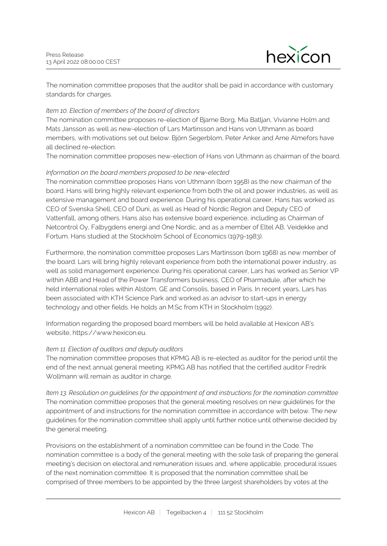

The nomination committee proposes that the auditor shall be paid in accordance with customary standards for charges.

### *Item 10. Election of members of the board of directors*

The nomination committee proposes re-election of Bjarne Borg, Mia Batljan, Vivianne Holm and Mats Jansson as well as new-election of Lars Martinsson and Hans von Uthmann as board members, with motivations set out below. Björn Segerblom, Peter Anker and Arne Almefors have all declined re-election.

The nomination committee proposes new-election of Hans von Uthmann as chairman of the board.

### *Information on the board members proposed to be new-elected*

The nomination committee proposes Hans von Uthmann (born 1958) as the new chairman of the board. Hans will bring highly relevant experience from both the oil and power industries, as well as extensive management and board experience. During his operational career, Hans has worked as CEO of Svenska Shell, CEO of Duni, as well as Head of Nordic Region and Deputy CEO of Vattenfall, among others. Hans also has extensive board experience, including as Chairman of Netcontrol Oy, Falbygdens energi and One Nordic, and as a member of Eltel AB, Veidekke and Fortum. Hans studied at the Stockholm School of Economics (1979-1983).

Furthermore, the nomination committee proposes Lars Martinsson (born 1968) as new member of the board. Lars will bring highly relevant experience from both the international power industry, as well as solid management experience. During his operational career, Lars has worked as Senior VP within ABB and Head of the Power Transformers business, CEO of Pharmadule, after which he held international roles within Alstom, GE and Consolis, based in Paris. In recent years, Lars has been associated with KTH Science Park and worked as an advisor to start-ups in energy technology and other fields. He holds an M.Sc from KTH in Stockholm (1992).

Information regarding the proposed board members will be held available at Hexicon AB's website, https://www.hexicon.eu.

#### *Item 11. Election of auditors and deputy auditors*

The nomination committee proposes that KPMG AB is re-elected as auditor for the period until the end of the next annual general meeting. KPMG AB has notified that the certified auditor Fredrik Wollmann will remain as auditor in charge.

*Item 13. Resolution on guidelines for the appointment of and instructions for the nomination committee* The nomination committee proposes that the general meeting resolves on new guidelines for the appointment of and instructions for the nomination committee in accordance with below. The new guidelines for the nomination committee shall apply until further notice until otherwise decided by the general meeting.

Provisions on the establishment of a nomination committee can be found in the Code. The nomination committee is a body of the general meeting with the sole task of preparing the general meeting's decision on electoral and remuneration issues and, where applicable, procedural issues of the next nomination committee. It is proposed that the nomination committee shall be comprised of three members to be appointed by the three largest shareholders by votes at the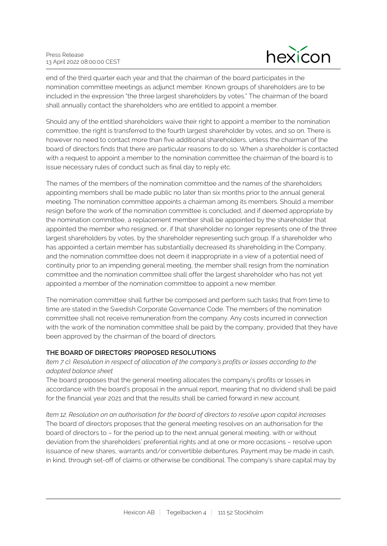

end of the third quarter each year and that the chairman of the board participates in the nomination committee meetings as adjunct member. Known groups of shareholders are to be included in the expression "the three largest shareholders by votes." The chairman of the board shall annually contact the shareholders who are entitled to appoint a member.

Should any of the entitled shareholders waive their right to appoint a member to the nomination committee, the right is transferred to the fourth largest shareholder by votes, and so on. There is however no need to contact more than five additional shareholders, unless the chairman of the board of directors finds that there are particular reasons to do so. When a shareholder is contacted with a request to appoint a member to the nomination committee the chairman of the board is to issue necessary rules of conduct such as final day to reply etc.

The names of the members of the nomination committee and the names of the shareholders appointing members shall be made public no later than six months prior to the annual general meeting. The nomination committee appoints a chairman among its members. Should a member resign before the work of the nomination committee is concluded, and if deemed appropriate by the nomination committee, a replacement member shall be appointed by the shareholder that appointed the member who resigned, or, if that shareholder no longer represents one of the three largest shareholders by votes, by the shareholder representing such group. If a shareholder who has appointed a certain member has substantially decreased its shareholding in the Company, and the nomination committee does not deem it inappropriate in a view of a potential need of continuity prior to an impending general meeting, the member shall resign from the nomination committee and the nomination committee shall offer the largest shareholder who has not yet appointed a member of the nomination committee to appoint a new member.

The nomination committee shall further be composed and perform such tasks that from time to time are stated in the Swedish Corporate Governance Code. The members of the nomination committee shall not receive remuneration from the company. Any costs incurred in connection with the work of the nomination committee shall be paid by the company, provided that they have been approved by the chairman of the board of directors.

## **THE BOARD OF DIRECTORS' PROPOSED RESOLUTIONS**

## *Item 7 c). Resolution in respect of allocation of the company's profits or losses according to the adopted balance sheet*

The board proposes that the general meeting allocates the company's profits or losses in accordance with the board's proposal in the annual report, meaning that no dividend shall be paid for the financial year 2021 and that the results shall be carried forward in new account.

*Item 12. Resolution on an authorisation for the board of directors to resolve upon capital increases* The board of directors proposes that the general meeting resolves on an authorisation for the board of directors to – for the period up to the next annual general meeting, with or without deviation from the shareholders' preferential rights and at one or more occasions – resolve upon issuance of new shares, warrants and/or convertible debentures. Payment may be made in cash, in kind, through set-off of claims or otherwise be conditional. The company's share capital may by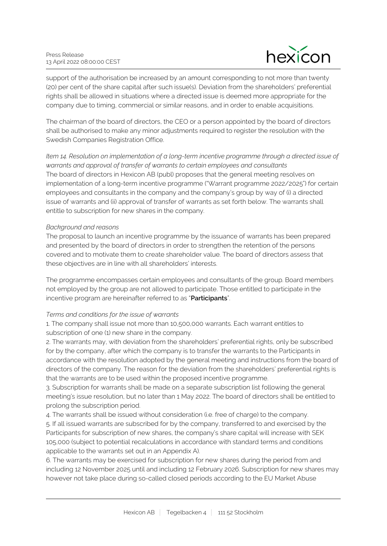

support of the authorisation be increased by an amount corresponding to not more than twenty (20) per cent of the share capital after such issue(s). Deviation from the shareholders' preferential rights shall be allowed in situations where a directed issue is deemed more appropriate for the company due to timing, commercial or similar reasons, and in order to enable acquisitions.

The chairman of the board of directors, the CEO or a person appointed by the board of directors shall be authorised to make any minor adjustments required to register the resolution with the Swedish Companies Registration Office.

*Item 14. Resolution on implementation of a long-term incentive programme through a directed issue of warrants and approval of transfer of warrants to certain employees and consultants* The board of directors in Hexicon AB (publ) proposes that the general meeting resolves on implementation of a long-term incentive programme ("Warrant programme 2022/2025") for certain employees and consultants in the company and the company's group by way of (i) a directed issue of warrants and (ii) approval of transfer of warrants as set forth below. The warrants shall entitle to subscription for new shares in the company.

### *Background and reasons*

The proposal to launch an incentive programme by the issuance of warrants has been prepared and presented by the board of directors in order to strengthen the retention of the persons covered and to motivate them to create shareholder value. The board of directors assess that these objectives are in line with all shareholders' interests.

The programme encompasses certain employees and consultants of the group. Board members not employed by the group are not allowed to participate. Those entitled to participate in the incentive program are hereinafter referred to as "**Participants**".

## *Terms and conditions for the issue of warrants*

1. The company shall issue not more than 10,500,000 warrants. Each warrant entitles to subscription of one (1) new share in the company.

2. The warrants may, with deviation from the shareholders' preferential rights, only be subscribed for by the company, after which the company is to transfer the warrants to the Participants in accordance with the resolution adopted by the general meeting and instructions from the board of directors of the company. The reason for the deviation from the shareholders' preferential rights is that the warrants are to be used within the proposed incentive programme.

3. Subscription for warrants shall be made on a separate subscription list following the general meeting's issue resolution, but no later than 1 May 2022. The board of directors shall be entitled to prolong the subscription period.

4. The warrants shall be issued without consideration (i.e. free of charge) to the company. 5. If all issued warrants are subscribed for by the company, transferred to and exercised by the Participants for subscription of new shares, the company's share capital will increase with SEK 105,000 (subject to potential recalculations in accordance with standard terms and conditions applicable to the warrants set out in an Appendix A).

6. The warrants may be exercised for subscription for new shares during the period from and including 12 November 2025 until and including 12 February 2026. Subscription for new shares may however not take place during so-called closed periods according to the EU Market Abuse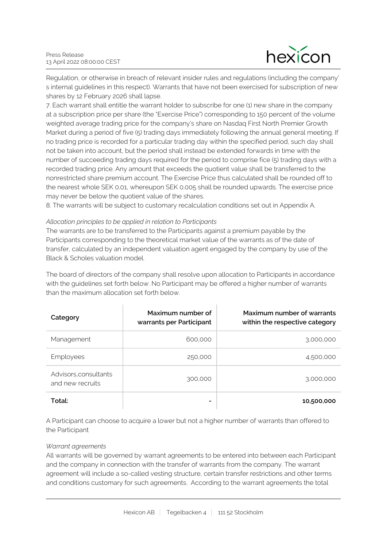

Regulation, or otherwise in breach of relevant insider rules and regulations (including the company' s internal guidelines in this respect). Warrants that have not been exercised for subscription of new shares by 12 February 2026 shall lapse.

7. Each warrant shall entitle the warrant holder to subscribe for one (1) new share in the company at a subscription price per share (the "Exercise Price") corresponding to 150 percent of the volume weighted average trading price for the company's share on Nasdaq First North Premier Growth Market during a period of five (5) trading days immediately following the annual general meeting. If no trading price is recorded for a particular trading day within the specified period, such day shall not be taken into account, but the period shall instead be extended forwards in time with the number of succeeding trading days required for the period to comprise fice (5) trading days with a recorded trading price. Any amount that exceeds the quotient value shall be transferred to the nonrestricted share premium account. The Exercise Price thus calculated shall be rounded off to the nearest whole SEK 0.01, whereupon SEK 0.005 shall be rounded upwards. The exercise price may never be below the quotient value of the shares.

8. The warrants will be subject to customary recalculation conditions set out in Appendix A.

#### *Allocation principles to be applied in relation to Participants*

The warrants are to be transferred to the Participants against a premium payable by the Participants corresponding to the theoretical market value of the warrants as of the date of transfer, calculated by an independent valuation agent engaged by the company by use of the Black & Scholes valuation model.

The board of directors of the company shall resolve upon allocation to Participants in accordance with the guidelines set forth below. No Participant may be offered a higher number of warrants than the maximum allocation set forth below.

| Category                                  | Maximum number of<br>warrants per Participant | Maximum number of warrants<br>within the respective category |
|-------------------------------------------|-----------------------------------------------|--------------------------------------------------------------|
| Management                                | 600,000                                       | 3,000,000                                                    |
| Employees                                 | 250,000                                       | 4,500,000                                                    |
| Advisors, consultants<br>and new recruits | 300,000                                       | 3,000,000                                                    |
| Total:                                    |                                               | 10,500,000                                                   |

A Participant can choose to acquire a lower but not a higher number of warrants than offered to the Participant

#### *Warrant agreements*

All warrants will be governed by warrant agreements to be entered into between each Participant and the company in connection with the transfer of warrants from the company. The warrant agreement will include a so-called vesting structure, certain transfer restrictions and other terms and conditions customary for such agreements. According to the warrant agreements the total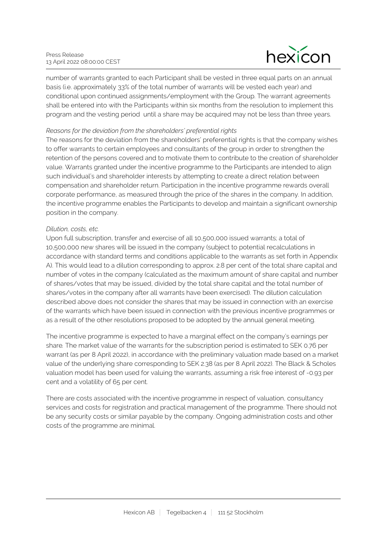

number of warrants granted to each Participant shall be vested in three equal parts on an annual basis (i.e. approximately 33% of the total number of warrants will be vested each year) and conditional upon continued assignments/employment with the Group. The warrant agreements shall be entered into with the Participants within six months from the resolution to implement this program and the vesting period until a share may be acquired may not be less than three years.

#### *Reasons for the deviation from the shareholders' preferential rights*

The reasons for the deviation from the shareholders' preferential rights is that the company wishes to offer warrants to certain employees and consultants of the group in order to strengthen the retention of the persons covered and to motivate them to contribute to the creation of shareholder value. Warrants granted under the incentive programme to the Participants are intended to align such individual's and shareholder interests by attempting to create a direct relation between compensation and shareholder return. Participation in the incentive programme rewards overall corporate performance, as measured through the price of the shares in the company. In addition, the incentive programme enables the Participants to develop and maintain a significant ownership position in the company.

### *Dilution, costs, etc.*

Upon full subscription, transfer and exercise of all 10,500,000 issued warrants; a total of 10,500,000 new shares will be issued in the company (subject to potential recalculations in accordance with standard terms and conditions applicable to the warrants as set forth in Appendix A). This would lead to a dilution corresponding to approx. 2.8 per cent of the total share capital and number of votes in the company (calculated as the maximum amount of share capital and number of shares/votes that may be issued, divided by the total share capital and the total number of shares/votes in the company after all warrants have been exercised). The dilution calculation described above does not consider the shares that may be issued in connection with an exercise of the warrants which have been issued in connection with the previous incentive programmes or as a result of the other resolutions proposed to be adopted by the annual general meeting.

The incentive programme is expected to have a marginal effect on the company's earnings per share*.* The market value of the warrants for the subscription period is estimated to SEK 0.76 per warrant (as per 8 April 2022), in accordance with the preliminary valuation made based on a market value of the underlying share corresponding to SEK 2.38 (as per 8 April 2022). The Black & Scholes valuation model has been used for valuing the warrants, assuming a risk free interest of -0.93 per cent and a volatility of 65 per cent.

There are costs associated with the incentive programme in respect of valuation, consultancy services and costs for registration and practical management of the programme. There should not be any security costs or similar payable by the company. Ongoing administration costs and other costs of the programme are minimal.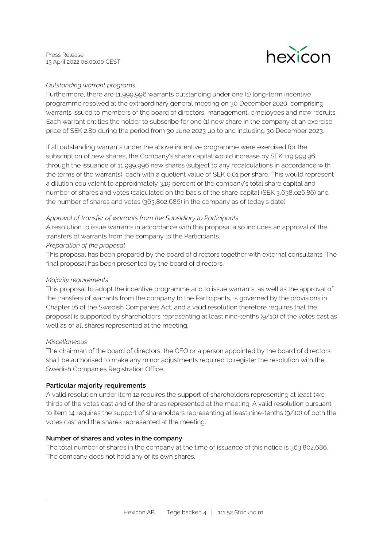

## *Outstanding warrant programs*

Furthermore, there are 11,999,996 warrants outstanding under one (1) long-term incentive programme resolved at the extraordinary general meeting on 30 December 2020, comprising warrants issued to members of the board of directors, management, employees and new recruits. Each warrant entitles the holder to subscribe for one (1) new share in the company at an exercise price of SEK 2.80 during the period from 30 June 2023 up to and including 30 December 2023.

If all outstanding warrants under the above incentive programme were exercised for the subscription of new shares, the Company's share capital would increase by SEK 119,999.96 through the issuance of 11,999,996 new shares (subject to any recalculations in accordance with the terms of the warrants), each with a quotient value of SEK 0.01 per share. This would represent a dilution equivalent to approximately 3.19 percent of the company's total share capital and number of shares and votes (calculated on the basis of the share capital (SEK 3,638,026.86) and the number of shares and votes (363,802,686) in the company as of today's date).

### *Approval of transfer of warrants from the Subsidiary to Participants*

A resolution to issue warrants in accordance with this proposal also includes an approval of the transfers of warrants from the company to the Participants.

#### *Preparation of the proposal*

This proposal has been prepared by the board of directors together with external consultants. The final proposal has been presented by the board of directors.

#### *Majority requirements*

This proposal to adopt the incentive programme and to issue warrants, as well as the approval of the transfers of warrants from the company to the Participants, is governed by the provisions in Chapter 16 of the Swedish Companies Act, and a valid resolution therefore requires that the proposal is supported by shareholders representing at least nine-tenths (9/10) of the votes cast as well as of all shares represented at the meeting.

#### *Miscellaneous*

The chairman of the board of directors, the CEO or a person appointed by the board of directors shall be authorised to make any minor adjustments required to register the resolution with the Swedish Companies Registration Office.

#### **Particular majority requirements**

A valid resolution under item 12 requires the support of shareholders representing at least two thirds of the votes cast and of the shares represented at the meeting. A valid resolution pursuant to item 14 requires the support of shareholders representing at least nine-tenths (9/10) of both the votes cast and the shares represented at the meeting.

#### **Number of shares and votes in the company**

The total number of shares in the company at the time of issuance of this notice is 363,802,686. The company does not hold any of its own shares.